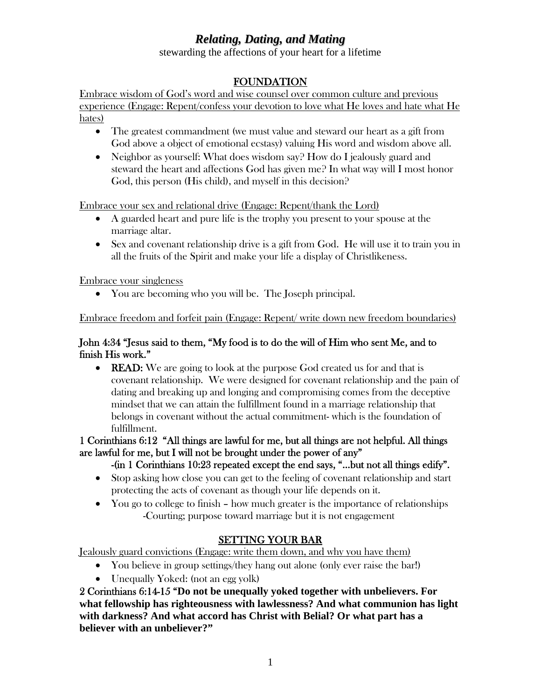# *Relating, Dating, and Mating*

stewarding the affections of your heart for a lifetime

## FOUNDATION

Embrace wisdom of God's word and wise counsel over common culture and previous experience (Engage: Repent/confess your devotion to love what He loves and hate what He hates)

- The greatest commandment (we must value and steward our heart as a gift from God above a object of emotional ecstasy) valuing His word and wisdom above all.
- Neighbor as yourself: What does wisdom say? How do I jealously guard and steward the heart and affections God has given me? In what way will I most honor God, this person (His child), and myself in this decision?

Embrace your sex and relational drive (Engage: Repent/thank the Lord)

- A guarded heart and pure life is the trophy you present to your spouse at the marriage altar.
- Sex and covenant relationship drive is a gift from God. He will use it to train you in all the fruits of the Spirit and make your life a display of Christlikeness.

Embrace your singleness

• You are becoming who you will be. The Joseph principal.

Embrace freedom and forfeit pain (Engage: Repent/ write down new freedom boundaries)

### [John 4:34](http://www.biblegateway.com/passage/?book_id=50&chapter=4&verse=34&version=50&context=verse) "Jesus said to them, "My food is to do the will of Him who sent Me, and to finish His work."

• **READ:** We are going to look at the purpose God created us for and that is covenant relationship. We were designed for covenant relationship and the pain of dating and breaking up and longing and compromising comes from the deceptive mindset that we can attain the fulfillment found in a marriage relationship that belongs in covenant without the actual commitment- which is the foundation of fulfillment.

1 Corinthians 6:12 "All things are lawful for me, but all things are not helpful. All things are lawful for me, but I will not be brought under the power of any"

## -(in 1 Corinthians 10:23 repeated except the end says, "…but not all things edify".

- Stop asking how close you can get to the feeling of covenant relationship and start protecting the acts of covenant as though your life depends on it.
- You go to college to finish how much greater is the importance of relationships -Courting; purpose toward marriage but it is not engagement

## SETTING YOUR BAR

Jealously guard convictions (Engage: write them down, and why you have them)

- You believe in group settings/they hang out alone (only ever raise the bar!)
- Unequally Yoked: (not an egg yolk)

2 Corinthians 6:14-15 "**Do not be unequally yoked together with unbelievers. For what fellowship has righteousness with lawlessness? And what communion has light with darkness? And what accord has Christ with Belial? Or what part has a believer with an unbeliever?"**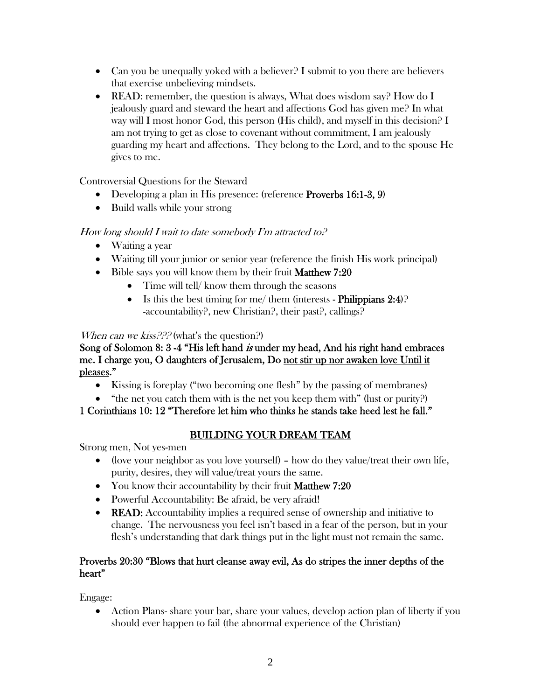- Can you be unequally yoked with a believer? I submit to you there are believers that exercise unbelieving mindsets.
- READ: remember, the question is always, What does wisdom say? How do I jealously guard and steward the heart and affections God has given me? In what way will I most honor God, this person (His child), and myself in this decision? I am not trying to get as close to covenant without commitment, I am jealously guarding my heart and affections. They belong to the Lord, and to the spouse He gives to me.

Controversial Questions for the Steward

- Developing a plan in His presence: (reference Proverbs 16:1-3, 9)
- Build walls while your strong

## How long should I wait to date somebody I'm attracted to?

- Waiting a year
- Waiting till your junior or senior year (reference the finish His work principal)
- Bible says you will know them by their fruit **Matthew 7:20** 
	- Time will tell/ know them through the seasons
	- Is this the best timing for me/ them (interests Philippians  $2:4$ )? -accountability?, new Christian?, their past?, callings?

When can we kiss??? (what's the question?)

### Song of Solomon 8: 3-4 "His left hand is under my head, And his right hand embraces me. I charge you, O daughters of Jerusalem, Do not stir up nor awaken love Until it pleases."

- Kissing is foreplay ("two becoming one flesh" by the passing of membranes)
- "the net you catch them with is the net you keep them with" (lust or purity?)

1 Corinthians 10: 12 "Therefore let him who thinks he stands take heed lest he fall."

## BUILDING YOUR DREAM TEAM

Strong men, Not yes-men

- (love your neighbor as you love yourself) how do they value/treat their own life, purity, desires, they will value/treat yours the same.
- You know their accountability by their fruit Matthew 7:20
- Powerful Accountability: Be afraid, be very afraid!
- **READ:** Accountability implies a required sense of ownership and initiative to change. The nervousness you feel isn't based in a fear of the person, but in your flesh's understanding that dark things put in the light must not remain the same.

### Proverbs 20:30 "Blows that hurt cleanse away evil, As do stripes the inner depths of the heart"

Engage:

• Action Plans- share your bar, share your values, develop action plan of liberty if you should ever happen to fail (the abnormal experience of the Christian)